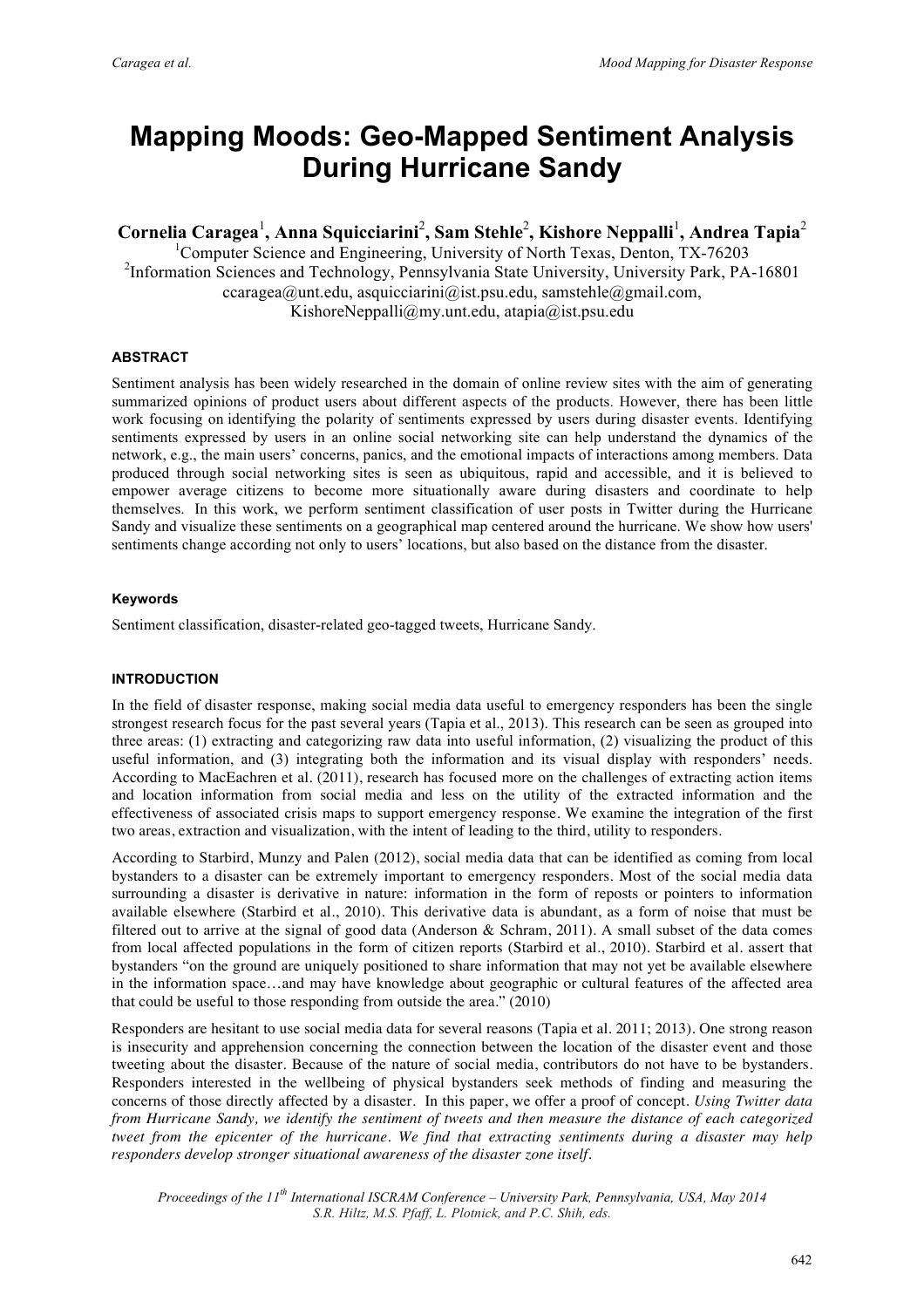# **Mapping Moods: Geo-Mapped Sentiment Analysis During Hurricane Sandy**

 $\bf{Cornelia Caragea}^1$ , Anna Squicciarini<sup>2</sup>, Sam Stehle<sup>2</sup>, Kishore Neppalli<sup>1</sup>, Andrea Tapia<sup>2</sup>

<sup>1</sup>Computer Science and Engineering, University of North Texas, Denton, TX-76203 <sup>2</sup>Information Sciences and Technology, Pennsylvania State University, University Park, PA-16801  $ccaragea@unt.edu, asquicciarini@ist.psu.edu, samstehle@gmail.com,$ KishoreNeppalli@my.unt.edu, atapia@ist.psu.edu

# **ABSTRACT**

Sentiment analysis has been widely researched in the domain of online review sites with the aim of generating summarized opinions of product users about different aspects of the products. However, there has been little work focusing on identifying the polarity of sentiments expressed by users during disaster events. Identifying sentiments expressed by users in an online social networking site can help understand the dynamics of the network, e.g., the main users' concerns, panics, and the emotional impacts of interactions among members. Data produced through social networking sites is seen as ubiquitous, rapid and accessible, and it is believed to empower average citizens to become more situationally aware during disasters and coordinate to help themselves. In this work, we perform sentiment classification of user posts in Twitter during the Hurricane Sandy and visualize these sentiments on a geographical map centered around the hurricane. We show how users' sentiments change according not only to users' locations, but also based on the distance from the disaster.

# **Keywords**

Sentiment classification, disaster-related geo-tagged tweets, Hurricane Sandy.

# **INTRODUCTION**

In the field of disaster response, making social media data useful to emergency responders has been the single strongest research focus for the past several years (Tapia et al., 2013). This research can be seen as grouped into three areas: (1) extracting and categorizing raw data into useful information, (2) visualizing the product of this useful information, and (3) integrating both the information and its visual display with responders' needs. According to MacEachren et al. (2011), research has focused more on the challenges of extracting action items and location information from social media and less on the utility of the extracted information and the effectiveness of associated crisis maps to support emergency response. We examine the integration of the first two areas, extraction and visualization, with the intent of leading to the third, utility to responders.

According to Starbird, Munzy and Palen (2012), social media data that can be identified as coming from local bystanders to a disaster can be extremely important to emergency responders. Most of the social media data surrounding a disaster is derivative in nature: information in the form of reposts or pointers to information available elsewhere (Starbird et al., 2010). This derivative data is abundant, as a form of noise that must be filtered out to arrive at the signal of good data (Anderson & Schram, 2011). A small subset of the data comes from local affected populations in the form of citizen reports (Starbird et al., 2010). Starbird et al. assert that bystanders "on the ground are uniquely positioned to share information that may not yet be available elsewhere in the information space…and may have knowledge about geographic or cultural features of the affected area that could be useful to those responding from outside the area." (2010)

Responders are hesitant to use social media data for several reasons (Tapia et al. 2011; 2013). One strong reason is insecurity and apprehension concerning the connection between the location of the disaster event and those tweeting about the disaster. Because of the nature of social media, contributors do not have to be bystanders. Responders interested in the wellbeing of physical bystanders seek methods of finding and measuring the concerns of those directly affected by a disaster. In this paper, we offer a proof of concept. *Using Twitter data from Hurricane Sandy, we identify the sentiment of tweets and then measure the distance of each categorized tweet from the epicenter of the hurricane. We find that extracting sentiments during a disaster may help responders develop stronger situational awareness of the disaster zone itself.*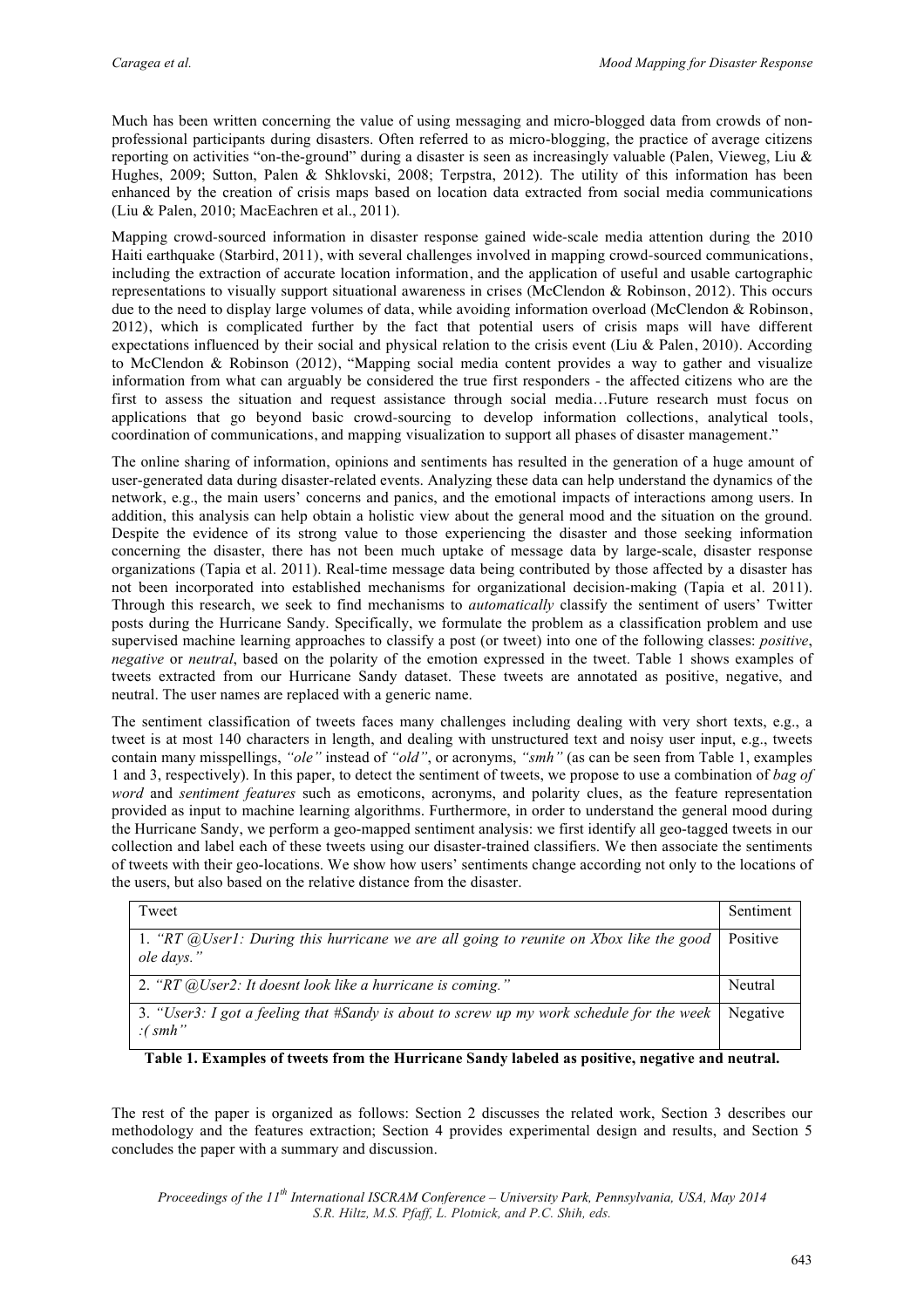Much has been written concerning the value of using messaging and micro-blogged data from crowds of nonprofessional participants during disasters. Often referred to as micro-blogging, the practice of average citizens reporting on activities "on-the-ground" during a disaster is seen as increasingly valuable (Palen, Vieweg, Liu & Hughes, 2009; Sutton, Palen & Shklovski, 2008; Terpstra, 2012). The utility of this information has been enhanced by the creation of crisis maps based on location data extracted from social media communications (Liu & Palen, 2010; MacEachren et al., 2011).

Mapping crowd-sourced information in disaster response gained wide-scale media attention during the 2010 Haiti earthquake (Starbird, 2011), with several challenges involved in mapping crowd-sourced communications, including the extraction of accurate location information, and the application of useful and usable cartographic representations to visually support situational awareness in crises (McClendon & Robinson, 2012). This occurs due to the need to display large volumes of data, while avoiding information overload (McClendon & Robinson, 2012), which is complicated further by the fact that potential users of crisis maps will have different expectations influenced by their social and physical relation to the crisis event (Liu & Palen, 2010). According to McClendon & Robinson (2012), "Mapping social media content provides a way to gather and visualize information from what can arguably be considered the true first responders - the affected citizens who are the first to assess the situation and request assistance through social media…Future research must focus on applications that go beyond basic crowd-sourcing to develop information collections, analytical tools, coordination of communications, and mapping visualization to support all phases of disaster management."

The online sharing of information, opinions and sentiments has resulted in the generation of a huge amount of user-generated data during disaster-related events. Analyzing these data can help understand the dynamics of the network, e.g., the main users' concerns and panics, and the emotional impacts of interactions among users. In addition, this analysis can help obtain a holistic view about the general mood and the situation on the ground. Despite the evidence of its strong value to those experiencing the disaster and those seeking information concerning the disaster, there has not been much uptake of message data by large-scale, disaster response organizations (Tapia et al. 2011). Real-time message data being contributed by those affected by a disaster has not been incorporated into established mechanisms for organizational decision-making (Tapia et al. 2011). Through this research, we seek to find mechanisms to *automatically* classify the sentiment of users' Twitter posts during the Hurricane Sandy. Specifically, we formulate the problem as a classification problem and use supervised machine learning approaches to classify a post (or tweet) into one of the following classes: *positive*, *negative* or *neutral*, based on the polarity of the emotion expressed in the tweet. Table 1 shows examples of tweets extracted from our Hurricane Sandy dataset. These tweets are annotated as positive, negative, and neutral. The user names are replaced with a generic name.

The sentiment classification of tweets faces many challenges including dealing with very short texts, e.g., a tweet is at most 140 characters in length, and dealing with unstructured text and noisy user input, e.g., tweets contain many misspellings, *"ole"* instead of *"old"*, or acronyms, *"smh"* (as can be seen from Table 1, examples 1 and 3, respectively). In this paper, to detect the sentiment of tweets, we propose to use a combination of *bag of word* and *sentiment features* such as emoticons, acronyms, and polarity clues, as the feature representation provided as input to machine learning algorithms. Furthermore, in order to understand the general mood during the Hurricane Sandy, we perform a geo-mapped sentiment analysis: we first identify all geo-tagged tweets in our collection and label each of these tweets using our disaster-trained classifiers. We then associate the sentiments of tweets with their geo-locations. We show how users' sentiments change according not only to the locations of the users, but also based on the relative distance from the disaster.

| Tweet                                                                                                | Sentiment |
|------------------------------------------------------------------------------------------------------|-----------|
| 1. "RT @User1: During this hurricane we are all going to reunite on Xbox like the good<br>ole days." | Positive  |
| 2. " $RT$ @User2: It doesnt look like a hurricane is coming."                                        | Neutral   |
| 3. "User3: I got a feeling that #Sandy is about to screw up my work schedule for the week<br>:(smh"  | Negative  |

**Table 1. Examples of tweets from the Hurricane Sandy labeled as positive, negative and neutral.**

The rest of the paper is organized as follows: Section 2 discusses the related work, Section 3 describes our methodology and the features extraction; Section 4 provides experimental design and results, and Section 5 concludes the paper with a summary and discussion.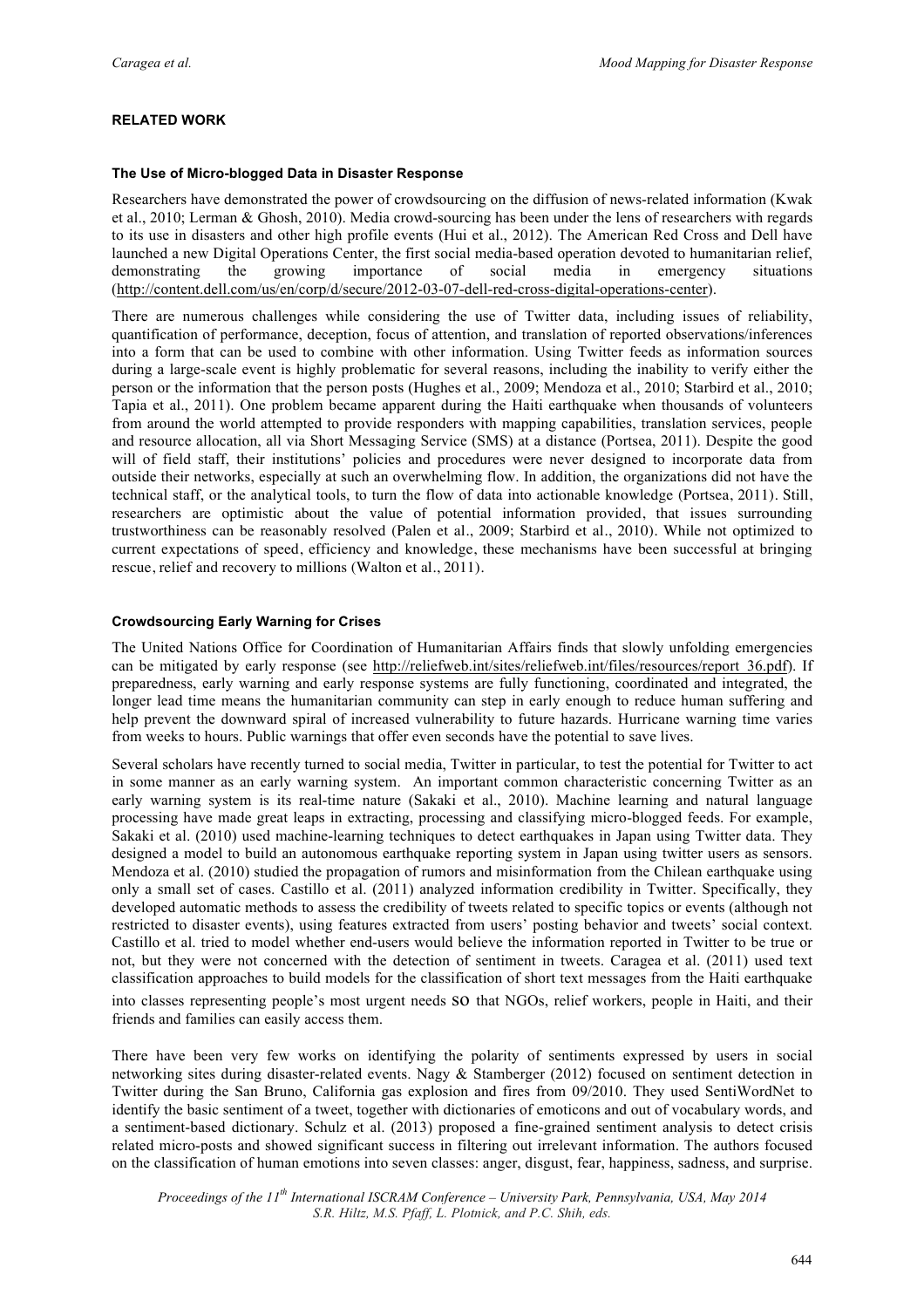# **RELATED WORK**

## **The Use of Micro-blogged Data in Disaster Response**

Researchers have demonstrated the power of crowdsourcing on the diffusion of news-related information (Kwak et al., 2010; Lerman & Ghosh, 2010). Media crowd-sourcing has been under the lens of researchers with regards to its use in disasters and other high profile events (Hui et al., 2012). The American Red Cross and Dell have launched a new Digital Operations Center, the first social media-based operation devoted to humanitarian relief, demonstrating the growing importance of social media in emergency situations (http://content.dell.com/us/en/corp/d/secure/2012-03-07-dell-red-cross-digital-operations-center).

There are numerous challenges while considering the use of Twitter data, including issues of reliability, quantification of performance, deception, focus of attention, and translation of reported observations/inferences into a form that can be used to combine with other information. Using Twitter feeds as information sources during a large-scale event is highly problematic for several reasons, including the inability to verify either the person or the information that the person posts (Hughes et al., 2009; Mendoza et al., 2010; Starbird et al., 2010; Tapia et al., 2011). One problem became apparent during the Haiti earthquake when thousands of volunteers from around the world attempted to provide responders with mapping capabilities, translation services, people and resource allocation, all via Short Messaging Service (SMS) at a distance (Portsea, 2011). Despite the good will of field staff, their institutions' policies and procedures were never designed to incorporate data from outside their networks, especially at such an overwhelming flow. In addition, the organizations did not have the technical staff, or the analytical tools, to turn the flow of data into actionable knowledge (Portsea, 2011). Still, researchers are optimistic about the value of potential information provided, that issues surrounding trustworthiness can be reasonably resolved (Palen et al., 2009; Starbird et al., 2010). While not optimized to current expectations of speed, efficiency and knowledge, these mechanisms have been successful at bringing rescue, relief and recovery to millions (Walton et al., 2011).

## **Crowdsourcing Early Warning for Crises**

The United Nations Office for Coordination of Humanitarian Affairs finds that slowly unfolding emergencies can be mitigated by early response (see http://reliefweb.int/sites/reliefweb.int/files/resources/report 36.pdf). If preparedness, early warning and early response systems are fully functioning, coordinated and integrated, the longer lead time means the humanitarian community can step in early enough to reduce human suffering and help prevent the downward spiral of increased vulnerability to future hazards. Hurricane warning time varies from weeks to hours. Public warnings that offer even seconds have the potential to save lives.

Several scholars have recently turned to social media, Twitter in particular, to test the potential for Twitter to act in some manner as an early warning system. An important common characteristic concerning Twitter as an early warning system is its real-time nature (Sakaki et al., 2010). Machine learning and natural language processing have made great leaps in extracting, processing and classifying micro-blogged feeds. For example, Sakaki et al. (2010) used machine-learning techniques to detect earthquakes in Japan using Twitter data. They designed a model to build an autonomous earthquake reporting system in Japan using twitter users as sensors. Mendoza et al. (2010) studied the propagation of rumors and misinformation from the Chilean earthquake using only a small set of cases. Castillo et al. (2011) analyzed information credibility in Twitter. Specifically, they developed automatic methods to assess the credibility of tweets related to specific topics or events (although not restricted to disaster events), using features extracted from users' posting behavior and tweets' social context. Castillo et al. tried to model whether end-users would believe the information reported in Twitter to be true or not, but they were not concerned with the detection of sentiment in tweets. Caragea et al. (2011) used text classification approaches to build models for the classification of short text messages from the Haiti earthquake

into classes representing people's most urgent needs so that NGOs, relief workers, people in Haiti, and their friends and families can easily access them.

There have been very few works on identifying the polarity of sentiments expressed by users in social networking sites during disaster-related events. Nagy & Stamberger (2012) focused on sentiment detection in Twitter during the San Bruno, California gas explosion and fires from 09/2010. They used SentiWordNet to identify the basic sentiment of a tweet, together with dictionaries of emoticons and out of vocabulary words, and a sentiment-based dictionary. Schulz et al. (2013) proposed a fine-grained sentiment analysis to detect crisis related micro-posts and showed significant success in filtering out irrelevant information. The authors focused on the classification of human emotions into seven classes: anger, disgust, fear, happiness, sadness, and surprise.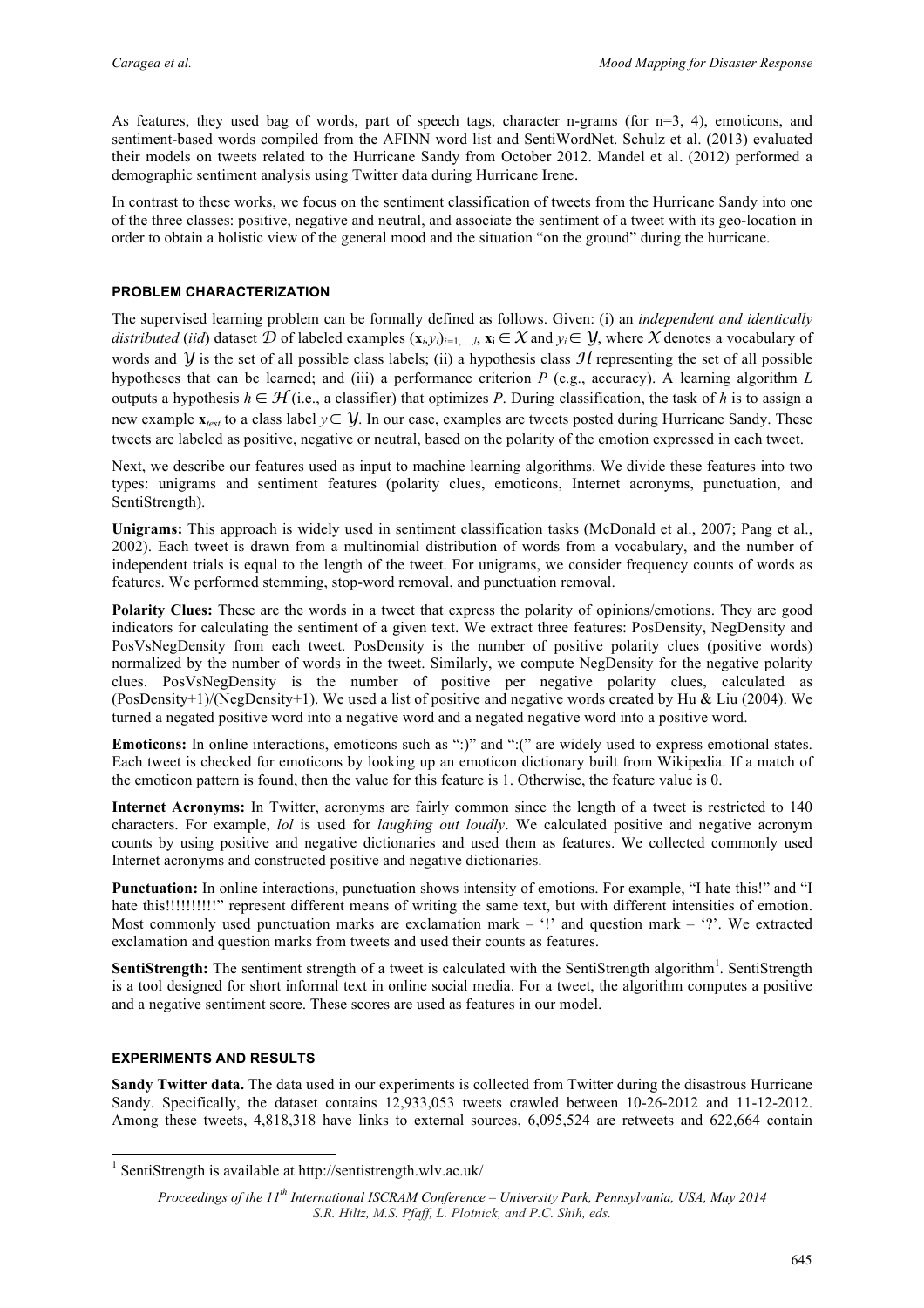As features, they used bag of words, part of speech tags, character n-grams (for  $n=3$ , 4), emoticons, and sentiment-based words compiled from the AFINN word list and SentiWordNet. Schulz et al. (2013) evaluated their models on tweets related to the Hurricane Sandy from October 2012. Mandel et al. (2012) performed a demographic sentiment analysis using Twitter data during Hurricane Irene.

In contrast to these works, we focus on the sentiment classification of tweets from the Hurricane Sandy into one of the three classes: positive, negative and neutral, and associate the sentiment of a tweet with its geo-location in order to obtain a holistic view of the general mood and the situation "on the ground" during the hurricane.

## **PROBLEM CHARACTERIZATION**

The supervised learning problem can be formally defined as follows. Given: (i) an *independent and identically distributed* (*iid*) dataset *D* of labeled examples  $(\mathbf{x}_i, y_i)_{i=1,\dots,l}$ ,  $\mathbf{x}_i \in \mathcal{X}$  and  $y_i \in \mathcal{Y}$ , where  $\mathcal{X}$  denotes a vocabulary of words and *Y* is the set of all possible class labels; (ii) a hypothesis class  $H$  representing the set of all possible hypotheses that can be learned; and (iii) a performance criterion *P* (e.g., accuracy). A learning algorithm *L* outputs a hypothesis  $h \in \mathcal{H}$  (i.e., a classifier) that optimizes *P*. During classification, the task of *h* is to assign a new example  $\mathbf{x}_{test}$  to a class label  $y \in \mathcal{Y}$ . In our case, examples are tweets posted during Hurricane Sandy. These tweets are labeled as positive, negative or neutral, based on the polarity of the emotion expressed in each tweet.

Next, we describe our features used as input to machine learning algorithms. We divide these features into two types: unigrams and sentiment features (polarity clues, emoticons, Internet acronyms, punctuation, and SentiStrength).

**Unigrams:** This approach is widely used in sentiment classification tasks (McDonald et al., 2007; Pang et al., 2002). Each tweet is drawn from a multinomial distribution of words from a vocabulary, and the number of independent trials is equal to the length of the tweet. For unigrams, we consider frequency counts of words as features. We performed stemming, stop-word removal, and punctuation removal.

**Polarity Clues:** These are the words in a tweet that express the polarity of opinions/emotions. They are good indicators for calculating the sentiment of a given text. We extract three features: PosDensity, NegDensity and PosVsNegDensity from each tweet. PosDensity is the number of positive polarity clues (positive words) normalized by the number of words in the tweet. Similarly, we compute NegDensity for the negative polarity clues. PosVsNegDensity is the number of positive per negative polarity clues, calculated as (PosDensity+1)/(NegDensity+1). We used a list of positive and negative words created by Hu & Liu (2004). We turned a negated positive word into a negative word and a negated negative word into a positive word.

**Emoticons:** In online interactions, emoticons such as ":)" and ":(" are widely used to express emotional states. Each tweet is checked for emoticons by looking up an emoticon dictionary built from Wikipedia. If a match of the emoticon pattern is found, then the value for this feature is 1. Otherwise, the feature value is 0.

**Internet Acronyms:** In Twitter, acronyms are fairly common since the length of a tweet is restricted to 140 characters. For example, *lol* is used for *laughing out loudly*. We calculated positive and negative acronym counts by using positive and negative dictionaries and used them as features. We collected commonly used Internet acronyms and constructed positive and negative dictionaries.

**Punctuation:** In online interactions, punctuation shows intensity of emotions. For example, "I hate this!" and "I hate this!!!!!!!!!!!" represent different means of writing the same text, but with different intensities of emotion. Most commonly used punctuation marks are exclamation mark –  $'$ !' and question mark – '?'. We extracted exclamation and question marks from tweets and used their counts as features.

SentiStrength: The sentiment strength of a tweet is calculated with the SentiStrength algorithm<sup>1</sup>. SentiStrength is a tool designed for short informal text in online social media. For a tweet, the algorithm computes a positive and a negative sentiment score. These scores are used as features in our model.

#### **EXPERIMENTS AND RESULTS**

 $\overline{a}$ 

**Sandy Twitter data.** The data used in our experiments is collected from Twitter during the disastrous Hurricane Sandy. Specifically, the dataset contains 12,933,053 tweets crawled between 10-26-2012 and 11-12-2012. Among these tweets, 4,818,318 have links to external sources, 6,095,524 are retweets and 622,664 contain

<sup>&</sup>lt;sup>1</sup> SentiStrength is available at http://sentistrength.wlv.ac.uk/

*Proceedings of the 11th International ISCRAM Conference – University Park, Pennsylvania, USA, May 2014 S.R. Hiltz, M.S. Pfaff, L. Plotnick, and P.C. Shih, eds.*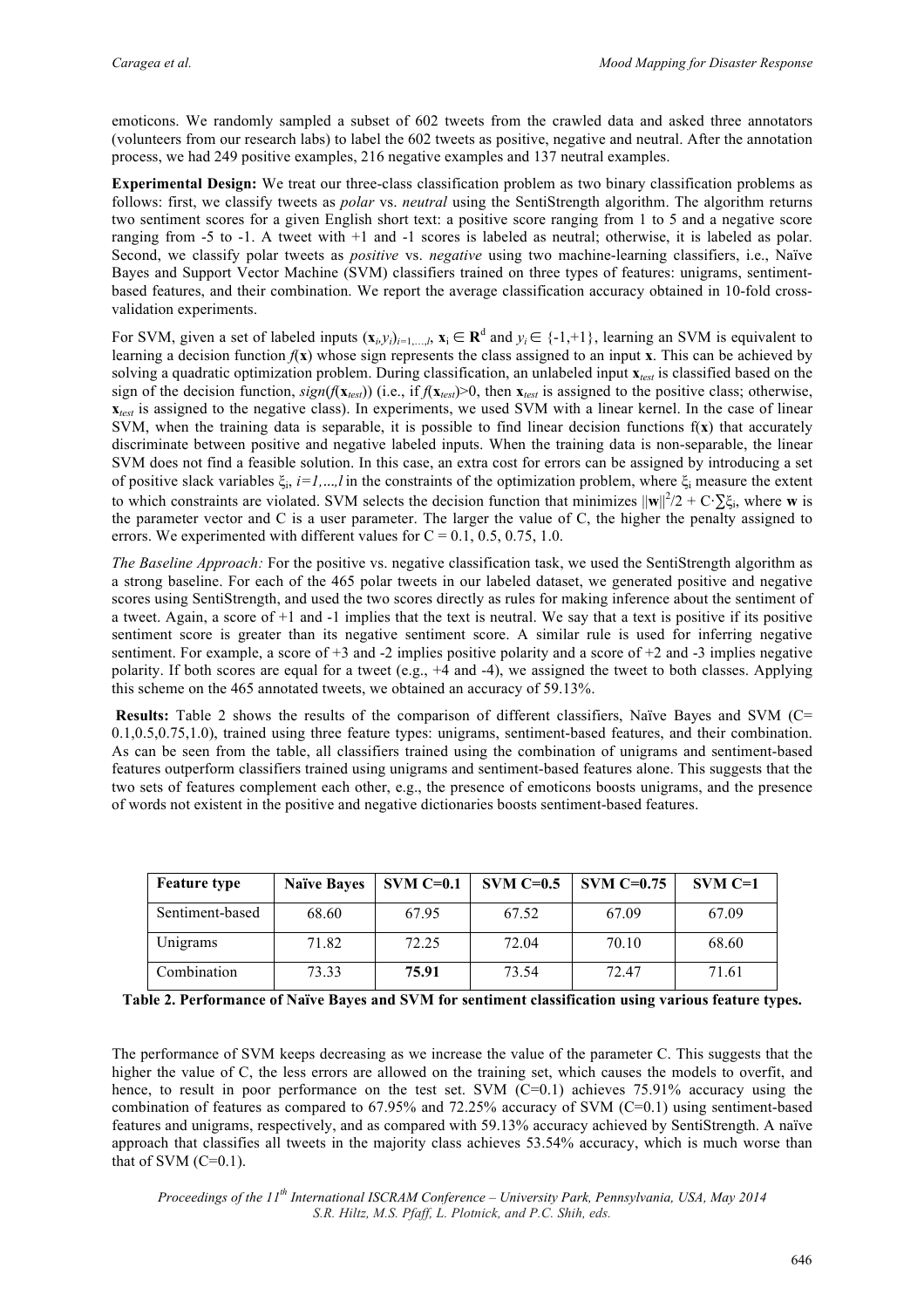emoticons. We randomly sampled a subset of 602 tweets from the crawled data and asked three annotators (volunteers from our research labs) to label the 602 tweets as positive, negative and neutral. After the annotation process, we had 249 positive examples, 216 negative examples and 137 neutral examples.

**Experimental Design:** We treat our three-class classification problem as two binary classification problems as follows: first, we classify tweets as *polar* vs. *neutral* using the SentiStrength algorithm. The algorithm returns two sentiment scores for a given English short text: a positive score ranging from 1 to 5 and a negative score ranging from -5 to -1. A tweet with +1 and -1 scores is labeled as neutral; otherwise, it is labeled as polar. Second, we classify polar tweets as *positive* vs. *negative* using two machine-learning classifiers, i.e., Naïve Bayes and Support Vector Machine (SVM) classifiers trained on three types of features: unigrams, sentimentbased features, and their combination. We report the average classification accuracy obtained in 10-fold crossvalidation experiments.

For SVM, given a set of labeled inputs  $(\mathbf{x}_i, y_i)_{i=1,\dots,l}$ ,  $\mathbf{x}_i \in \mathbb{R}^d$  and  $y_i \in \{-1, +1\}$ , learning an SVM is equivalent to learning a decision function  $f(x)$  whose sign represents the class assigned to an input **x**. This can be achieved by solving a quadratic optimization problem. During classification, an unlabeled input **x***test* is classified based on the sign of the decision function,  $sign(f(\mathbf{x}_{test}))$  (i.e., if  $f(\mathbf{x}_{test})>0$ , then  $\mathbf{x}_{test}$  is assigned to the positive class; otherwise,  $\mathbf{x}_{\text{test}}$  is assigned to the negative class). In experiments, we used SVM with a linear kernel. In the case of linear SVM, when the training data is separable, it is possible to find linear decision functions  $f(x)$  that accurately discriminate between positive and negative labeled inputs. When the training data is non-separable, the linear SVM does not find a feasible solution. In this case, an extra cost for errors can be assigned by introducing a set of positive slack variables ξi, *i=1,*...*,l* in the constraints of the optimization problem, where ξ<sup>i</sup> measure the extent to which constraints are violated. SVM selects the decision function that minimizes  $\|\mathbf{w}\|^2/2 + C \cdot \sum \xi_i$ , where **w** is the parameter vector and C is a user parameter. The larger the value of C, the higher the penalty assigned to errors. We experimented with different values for  $C = 0.1, 0.5, 0.75, 1.0$ .

*The Baseline Approach:* For the positive vs. negative classification task, we used the SentiStrength algorithm as a strong baseline. For each of the 465 polar tweets in our labeled dataset, we generated positive and negative scores using SentiStrength, and used the two scores directly as rules for making inference about the sentiment of a tweet. Again, a score of  $+1$  and  $-1$  implies that the text is neutral. We say that a text is positive if its positive sentiment score is greater than its negative sentiment score. A similar rule is used for inferring negative sentiment. For example, a score of +3 and -2 implies positive polarity and a score of +2 and -3 implies negative polarity. If both scores are equal for a tweet (e.g.,  $+4$  and  $-4$ ), we assigned the tweet to both classes. Applying this scheme on the 465 annotated tweets, we obtained an accuracy of 59.13%.

**Results:** Table 2 shows the results of the comparison of different classifiers, Naïve Bayes and SVM (C= 0.1,0.5,0.75,1.0), trained using three feature types: unigrams, sentiment-based features, and their combination. As can be seen from the table, all classifiers trained using the combination of unigrams and sentiment-based features outperform classifiers trained using unigrams and sentiment-based features alone. This suggests that the two sets of features complement each other, e.g., the presence of emoticons boosts unigrams, and the presence of words not existent in the positive and negative dictionaries boosts sentiment-based features.

| <b>Feature type</b> | <b>Naïve Bayes</b> | $SVM C=0.1$ | $SVM C=0.5$ | SVM $C=0.75$ | $SVM C=1$ |
|---------------------|--------------------|-------------|-------------|--------------|-----------|
| Sentiment-based     | 68.60              | 67.95       | 67.52       | 67.09        | 67.09     |
| Unigrams            | 71.82              | 72.25       | 72.04       | 70.10        | 68.60     |
| Combination         | 73.33              | 75.91       | 73.54       | 72.47        | 71.61     |

**Table 2. Performance of Naïve Bayes and SVM for sentiment classification using various feature types.** 

The performance of SVM keeps decreasing as we increase the value of the parameter C. This suggests that the higher the value of C, the less errors are allowed on the training set, which causes the models to overfit, and hence, to result in poor performance on the test set. SVM (C=0.1) achieves 75.91% accuracy using the combination of features as compared to  $67.95\%$  and  $72.25\%$  accuracy of SVM (C=0.1) using sentiment-based features and unigrams, respectively, and as compared with 59.13% accuracy achieved by SentiStrength. A naïve approach that classifies all tweets in the majority class achieves 53.54% accuracy, which is much worse than that of SVM  $(C=0.1)$ .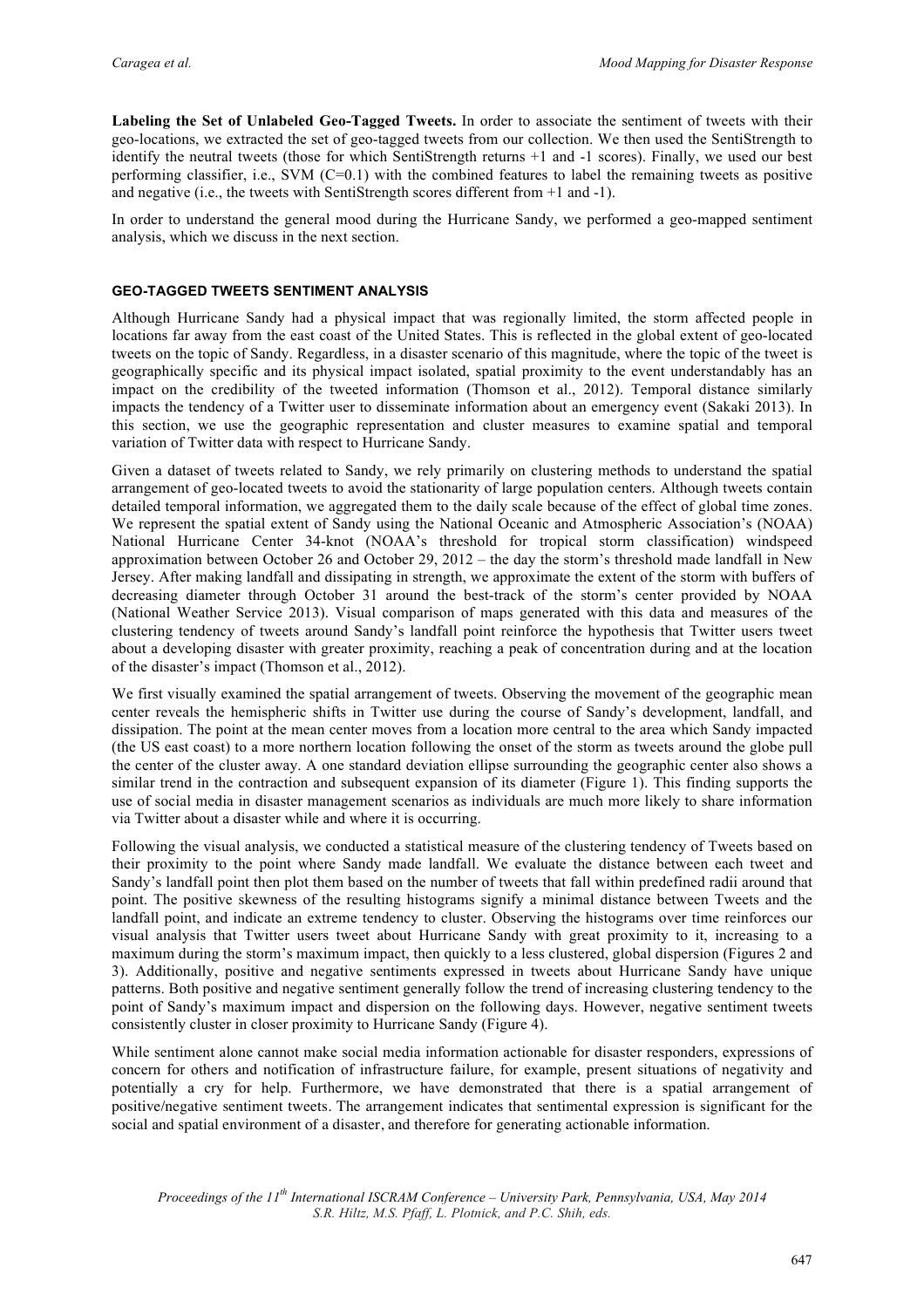**Labeling the Set of Unlabeled Geo-Tagged Tweets.** In order to associate the sentiment of tweets with their geo-locations, we extracted the set of geo-tagged tweets from our collection. We then used the SentiStrength to identify the neutral tweets (those for which SentiStrength returns +1 and -1 scores). Finally, we used our best performing classifier, i.e., SVM  $(C=0.1)$  with the combined features to label the remaining tweets as positive and negative (i.e., the tweets with SentiStrength scores different from +1 and -1).

In order to understand the general mood during the Hurricane Sandy, we performed a geo-mapped sentiment analysis, which we discuss in the next section.

## **GEO-TAGGED TWEETS SENTIMENT ANALYSIS**

Although Hurricane Sandy had a physical impact that was regionally limited, the storm affected people in locations far away from the east coast of the United States. This is reflected in the global extent of geo-located tweets on the topic of Sandy. Regardless, in a disaster scenario of this magnitude, where the topic of the tweet is geographically specific and its physical impact isolated, spatial proximity to the event understandably has an impact on the credibility of the tweeted information (Thomson et al., 2012). Temporal distance similarly impacts the tendency of a Twitter user to disseminate information about an emergency event (Sakaki 2013). In this section, we use the geographic representation and cluster measures to examine spatial and temporal variation of Twitter data with respect to Hurricane Sandy.

Given a dataset of tweets related to Sandy, we rely primarily on clustering methods to understand the spatial arrangement of geo-located tweets to avoid the stationarity of large population centers. Although tweets contain detailed temporal information, we aggregated them to the daily scale because of the effect of global time zones. We represent the spatial extent of Sandy using the National Oceanic and Atmospheric Association's (NOAA) National Hurricane Center 34-knot (NOAA's threshold for tropical storm classification) windspeed approximation between October 26 and October 29, 2012 – the day the storm's threshold made landfall in New Jersey. After making landfall and dissipating in strength, we approximate the extent of the storm with buffers of decreasing diameter through October 31 around the best-track of the storm's center provided by NOAA (National Weather Service 2013). Visual comparison of maps generated with this data and measures of the clustering tendency of tweets around Sandy's landfall point reinforce the hypothesis that Twitter users tweet about a developing disaster with greater proximity, reaching a peak of concentration during and at the location of the disaster's impact (Thomson et al., 2012).

We first visually examined the spatial arrangement of tweets. Observing the movement of the geographic mean center reveals the hemispheric shifts in Twitter use during the course of Sandy's development, landfall, and dissipation. The point at the mean center moves from a location more central to the area which Sandy impacted (the US east coast) to a more northern location following the onset of the storm as tweets around the globe pull the center of the cluster away. A one standard deviation ellipse surrounding the geographic center also shows a similar trend in the contraction and subsequent expansion of its diameter (Figure 1). This finding supports the use of social media in disaster management scenarios as individuals are much more likely to share information via Twitter about a disaster while and where it is occurring.

Following the visual analysis, we conducted a statistical measure of the clustering tendency of Tweets based on their proximity to the point where Sandy made landfall. We evaluate the distance between each tweet and Sandy's landfall point then plot them based on the number of tweets that fall within predefined radii around that point. The positive skewness of the resulting histograms signify a minimal distance between Tweets and the landfall point, and indicate an extreme tendency to cluster. Observing the histograms over time reinforces our visual analysis that Twitter users tweet about Hurricane Sandy with great proximity to it, increasing to a maximum during the storm's maximum impact, then quickly to a less clustered, global dispersion (Figures 2 and 3). Additionally, positive and negative sentiments expressed in tweets about Hurricane Sandy have unique patterns. Both positive and negative sentiment generally follow the trend of increasing clustering tendency to the point of Sandy's maximum impact and dispersion on the following days. However, negative sentiment tweets consistently cluster in closer proximity to Hurricane Sandy (Figure 4).

While sentiment alone cannot make social media information actionable for disaster responders, expressions of concern for others and notification of infrastructure failure, for example, present situations of negativity and potentially a cry for help. Furthermore, we have demonstrated that there is a spatial arrangement of positive/negative sentiment tweets. The arrangement indicates that sentimental expression is significant for the social and spatial environment of a disaster, and therefore for generating actionable information.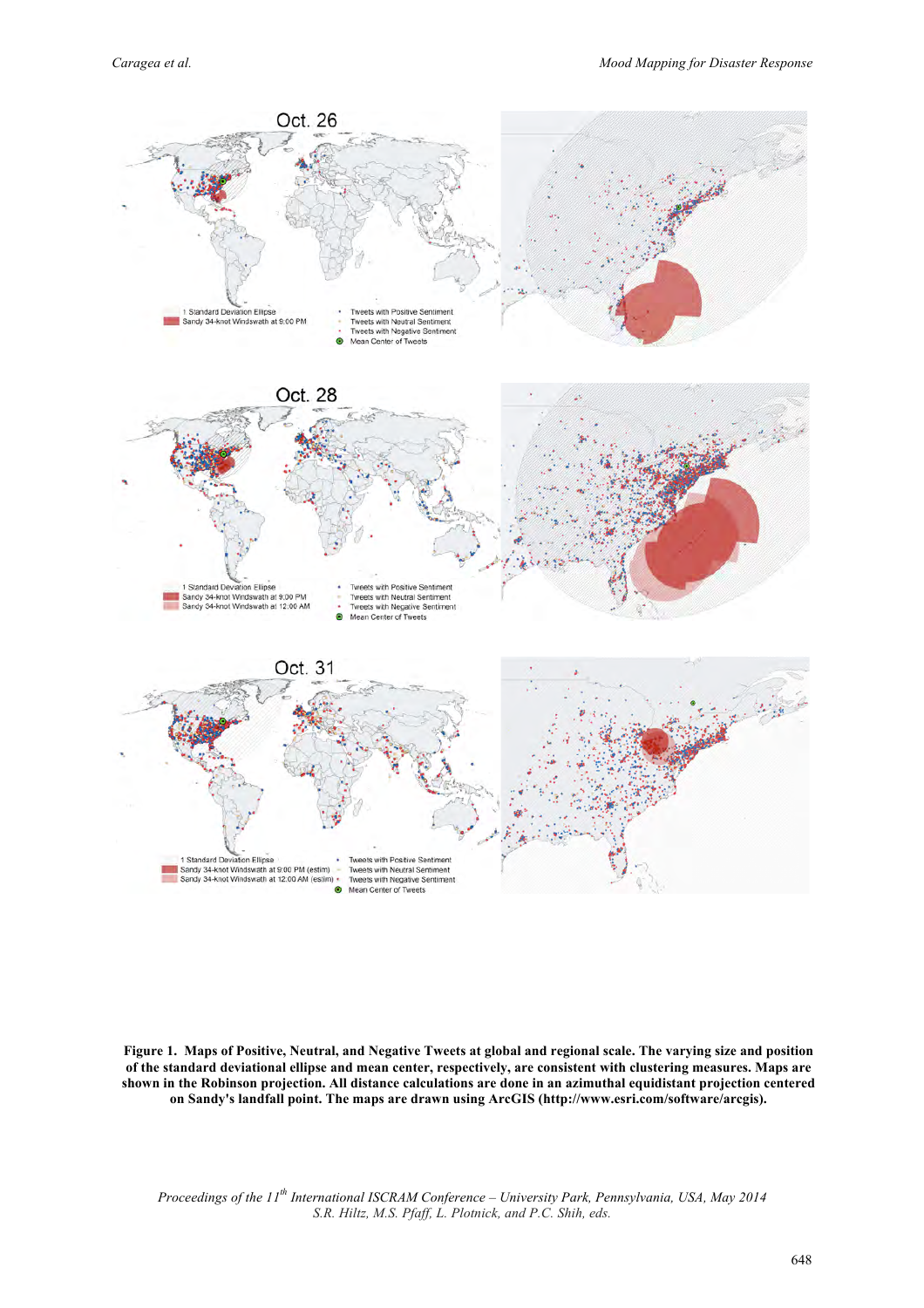

**Figure 1. Maps of Positive, Neutral, and Negative Tweets at global and regional scale. The varying size and position of the standard deviational ellipse and mean center, respectively, are consistent with clustering measures. Maps are shown in the Robinson projection. All distance calculations are done in an azimuthal equidistant projection centered on Sandy's landfall point. The maps are drawn using ArcGIS (http://www.esri.com/software/arcgis).**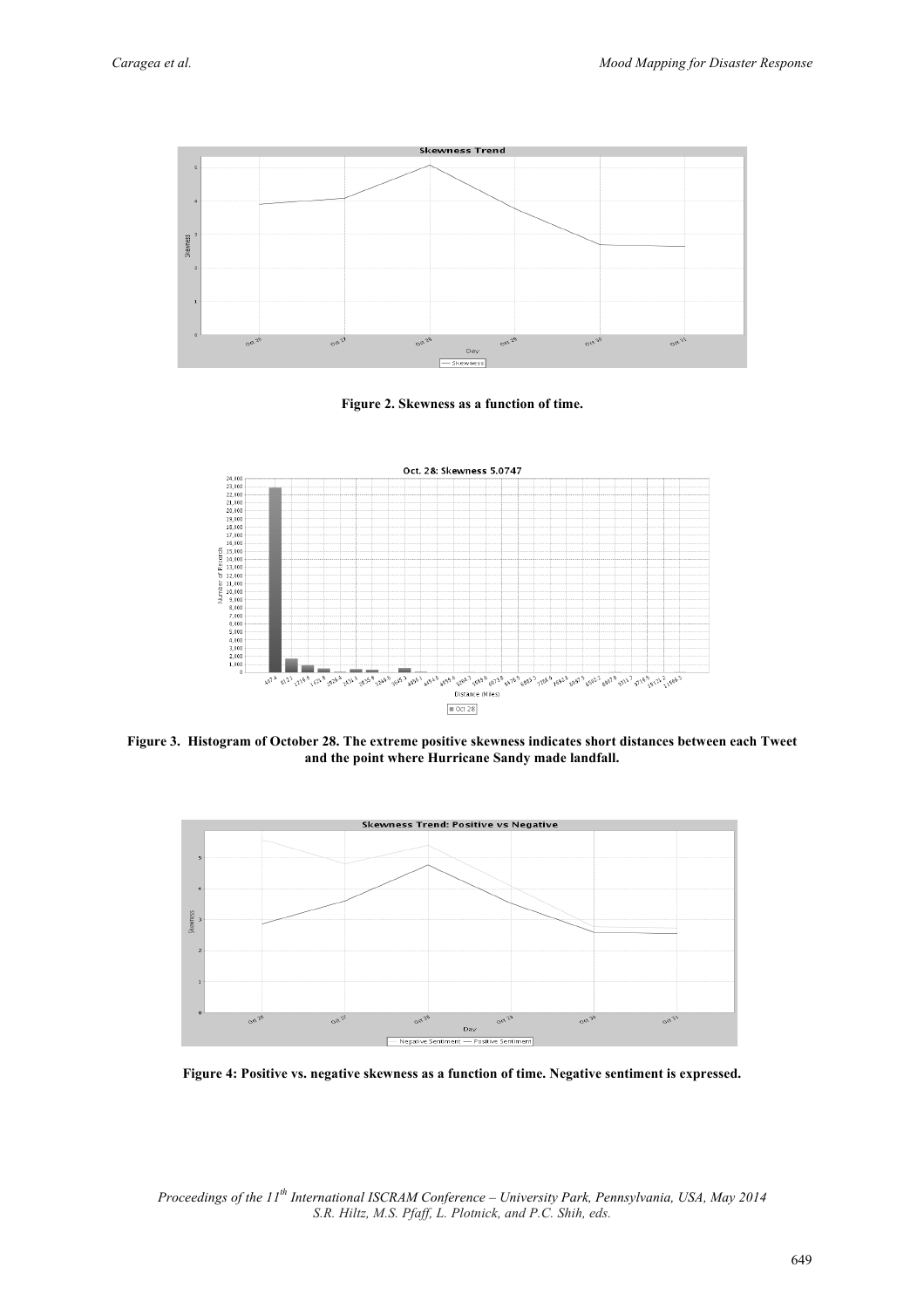





**Figure 3. Histogram of October 28. The extreme positive skewness indicates short distances between each Tweet and the point where Hurricane Sandy made landfall.**



**Figure 4: Positive vs. negative skewness as a function of time. Negative sentiment is expressed.**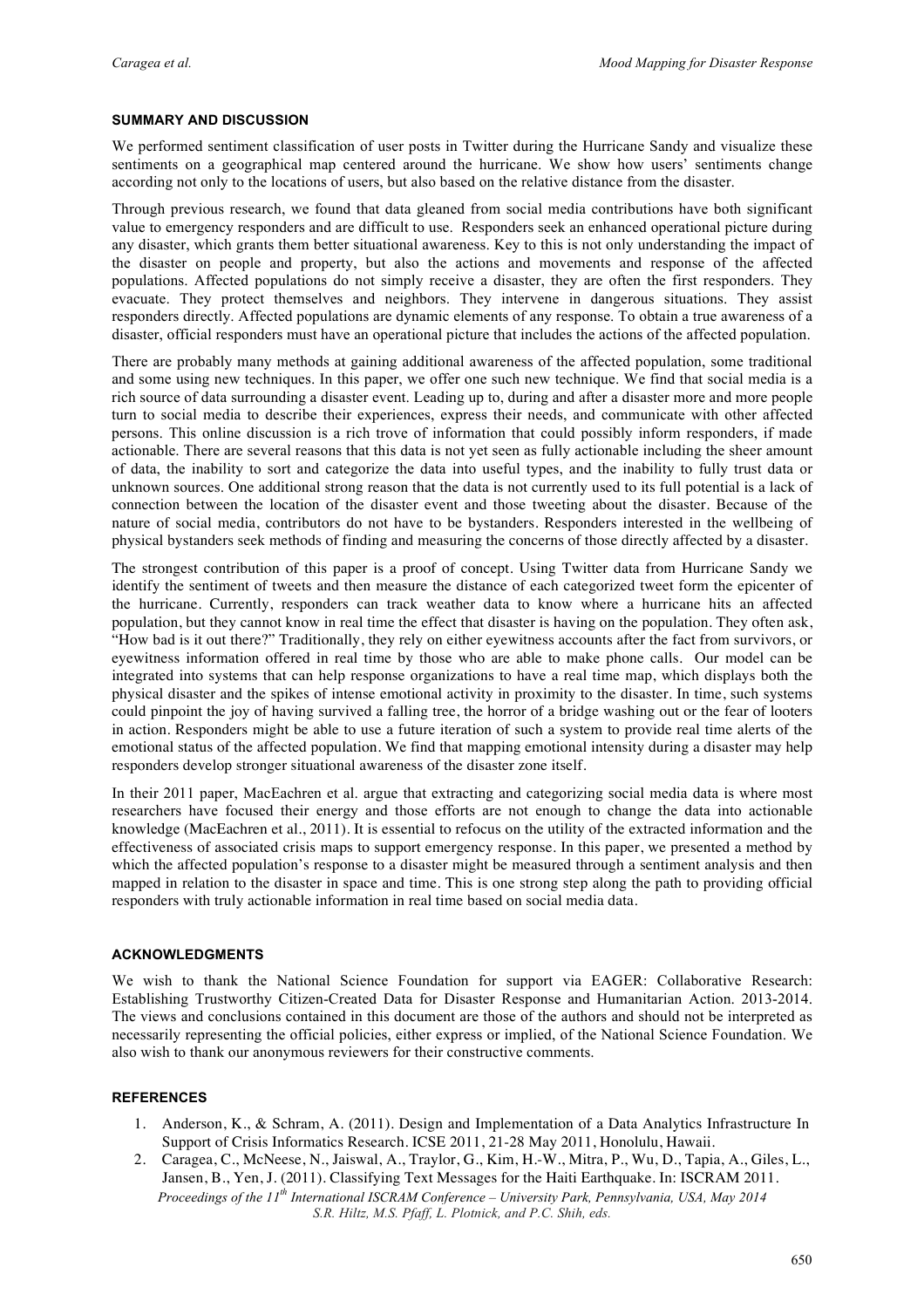## **SUMMARY AND DISCUSSION**

We performed sentiment classification of user posts in Twitter during the Hurricane Sandy and visualize these sentiments on a geographical map centered around the hurricane. We show how users' sentiments change according not only to the locations of users, but also based on the relative distance from the disaster.

Through previous research, we found that data gleaned from social media contributions have both significant value to emergency responders and are difficult to use. Responders seek an enhanced operational picture during any disaster, which grants them better situational awareness. Key to this is not only understanding the impact of the disaster on people and property, but also the actions and movements and response of the affected populations. Affected populations do not simply receive a disaster, they are often the first responders. They evacuate. They protect themselves and neighbors. They intervene in dangerous situations. They assist responders directly. Affected populations are dynamic elements of any response. To obtain a true awareness of a disaster, official responders must have an operational picture that includes the actions of the affected population.

There are probably many methods at gaining additional awareness of the affected population, some traditional and some using new techniques. In this paper, we offer one such new technique. We find that social media is a rich source of data surrounding a disaster event. Leading up to, during and after a disaster more and more people turn to social media to describe their experiences, express their needs, and communicate with other affected persons. This online discussion is a rich trove of information that could possibly inform responders, if made actionable. There are several reasons that this data is not yet seen as fully actionable including the sheer amount of data, the inability to sort and categorize the data into useful types, and the inability to fully trust data or unknown sources. One additional strong reason that the data is not currently used to its full potential is a lack of connection between the location of the disaster event and those tweeting about the disaster. Because of the nature of social media, contributors do not have to be bystanders. Responders interested in the wellbeing of physical bystanders seek methods of finding and measuring the concerns of those directly affected by a disaster.

The strongest contribution of this paper is a proof of concept. Using Twitter data from Hurricane Sandy we identify the sentiment of tweets and then measure the distance of each categorized tweet form the epicenter of the hurricane. Currently, responders can track weather data to know where a hurricane hits an affected population, but they cannot know in real time the effect that disaster is having on the population. They often ask, "How bad is it out there?" Traditionally, they rely on either eyewitness accounts after the fact from survivors, or eyewitness information offered in real time by those who are able to make phone calls. Our model can be integrated into systems that can help response organizations to have a real time map, which displays both the physical disaster and the spikes of intense emotional activity in proximity to the disaster. In time, such systems could pinpoint the joy of having survived a falling tree, the horror of a bridge washing out or the fear of looters in action. Responders might be able to use a future iteration of such a system to provide real time alerts of the emotional status of the affected population. We find that mapping emotional intensity during a disaster may help responders develop stronger situational awareness of the disaster zone itself.

In their 2011 paper, MacEachren et al. argue that extracting and categorizing social media data is where most researchers have focused their energy and those efforts are not enough to change the data into actionable knowledge (MacEachren et al., 2011). It is essential to refocus on the utility of the extracted information and the effectiveness of associated crisis maps to support emergency response. In this paper, we presented a method by which the affected population's response to a disaster might be measured through a sentiment analysis and then mapped in relation to the disaster in space and time. This is one strong step along the path to providing official responders with truly actionable information in real time based on social media data.

#### **ACKNOWLEDGMENTS**

We wish to thank the National Science Foundation for support via EAGER: Collaborative Research: Establishing Trustworthy Citizen-Created Data for Disaster Response and Humanitarian Action. 2013-2014. The views and conclusions contained in this document are those of the authors and should not be interpreted as necessarily representing the official policies, either express or implied, of the National Science Foundation. We also wish to thank our anonymous reviewers for their constructive comments.

#### **REFERENCES**

- 1. Anderson, K., & Schram, A. (2011). Design and Implementation of a Data Analytics Infrastructure In Support of Crisis Informatics Research. ICSE 2011, 21-28 May 2011, Honolulu, Hawaii.
- *Proceedings of the 11th International ISCRAM Conference University Park, Pennsylvania, USA, May 2014* 2. Caragea, C., McNeese, N., Jaiswal, A., Traylor, G., Kim, H.-W., Mitra, P., Wu, D., Tapia, A., Giles, L., Jansen, B., Yen, J. (2011). Classifying Text Messages for the Haiti Earthquake. In: ISCRAM 2011.

*S.R. Hiltz, M.S. Pfaff, L. Plotnick, and P.C. Shih, eds.*